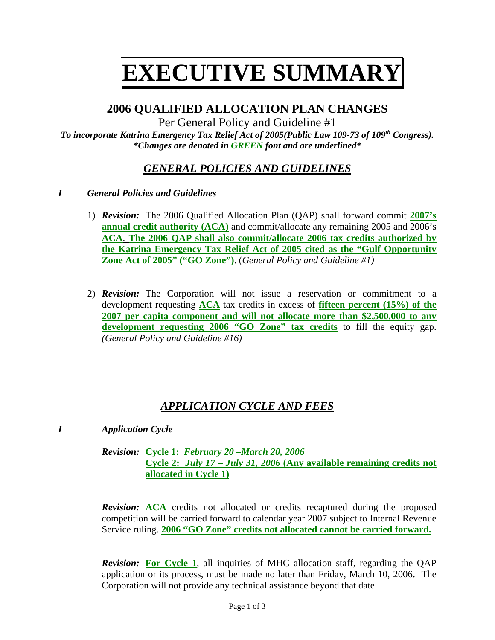# **EXECUTIVE SUMMARY**

# **2006 QUALIFIED ALLOCATION PLAN CHANGES**

Per General Policy and Guideline #1

*To incorporate Katrina Emergency Tax Relief Act of 2005(Public Law 109-73 of 109th Congress). \*Changes are denoted in GREEN font and are underlined\** 

# *GENERAL POLICIES AND GUIDELINES*

- *I General Policies and Guidelines* 
	- 1) *Revision:* The 2006 Qualified Allocation Plan (QAP) shall forward commit **2007's annual credit authority (ACA)** and commit/allocate any remaining 2005 and 2006's **ACA**. **The 2006 QAP shall also commit/allocate 2006 tax credits authorized by the Katrina Emergency Tax Relief Act of 2005 cited as the "Gulf Opportunity Zone Act of 2005" ("GO Zone")**. (*General Policy and Guideline #1)*
	- 2) *Revision:* The Corporation will not issue a reservation or commitment to a development requesting **ACA** tax credits in excess of **fifteen percent (15%) of the 2007 per capita component and will not allocate more than \$2,500,000 to any development requesting 2006 "GO Zone" tax credits** to fill the equity gap. *(General Policy and Guideline #16)*

# *APPLICATION CYCLE AND FEES*

*I Application Cycle* 

 *Revision:* **Cycle 1:** *February 20 –March 20, 2006*  **Cycle 2:** *July 17 – July 31, 2006* **(Any available remaining credits not allocated in Cycle 1)** 

*Revision:* **ACA** credits not allocated or credits recaptured during the proposed competition will be carried forward to calendar year 2007 subject to Internal Revenue Service ruling. **2006 "GO Zone" credits not allocated cannot be carried forward.**

*Revision:* **For Cycle 1**, all inquiries of MHC allocation staff, regarding the QAP application or its process, must be made no later than Friday, March 10, 2006**.** The Corporation will not provide any technical assistance beyond that date.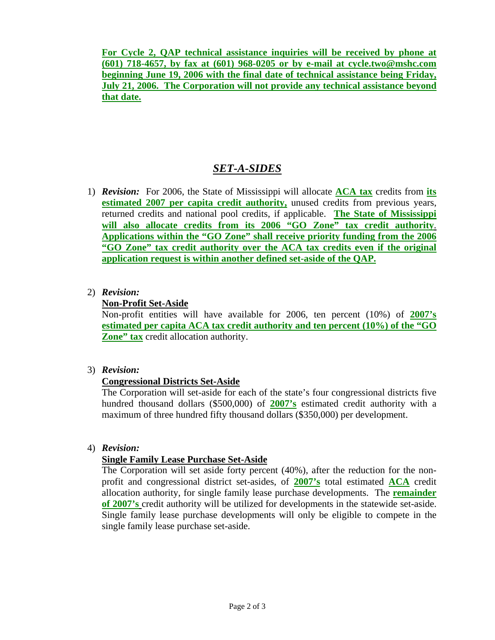**For Cycle 2, QAP technical assistance inquiries will be received by phone at (601) 718-4657, by fax at (601) 968-0205 or by e-mail at cycle.two@mshc.com beginning June 19, 2006 with the final date of technical assistance being Friday, July 21, 2006. The Corporation will not provide any technical assistance beyond that date.** 

## *SET-A-SIDES*

- 1) *Revision:* For 2006, the State of Mississippi will allocate **ACA tax** credits from **its estimated 2007 per capita credit authority,** unused credits from previous years, returned credits and national pool credits, if applicable. **The State of Mississippi will also allocate credits from its 2006 "GO Zone" tax credit authority**. **Applications within the "GO Zone" shall receive priority funding from the 2006 "GO Zone" tax credit authority over the ACA tax credits even if the original application request is within another defined set-aside of the QAP.**
- 2) *Revision:*

#### **Non-Profit Set-Aside**

Non-profit entities will have available for 2006, ten percent (10%) of **2007's estimated per capita ACA tax credit authority and ten percent (10%) of the "GO Zone"** tax credit allocation authority.

3) *Revision:*

## **Congressional Districts Set-Aside**

 The Corporation will set-aside for each of the state's four congressional districts five hundred thousand dollars (\$500,000) of **2007's** estimated credit authority with a maximum of three hundred fifty thousand dollars (\$350,000) per development.

4) *Revision:* 

## **Single Family Lease Purchase Set-Aside**

The Corporation will set aside forty percent (40%), after the reduction for the nonprofit and congressional district set-asides, of **2007's** total estimated **ACA** credit allocation authority, for single family lease purchase developments. The **remainder of 2007's** credit authority will be utilized for developments in the statewide set-aside. Single family lease purchase developments will only be eligible to compete in the single family lease purchase set-aside.